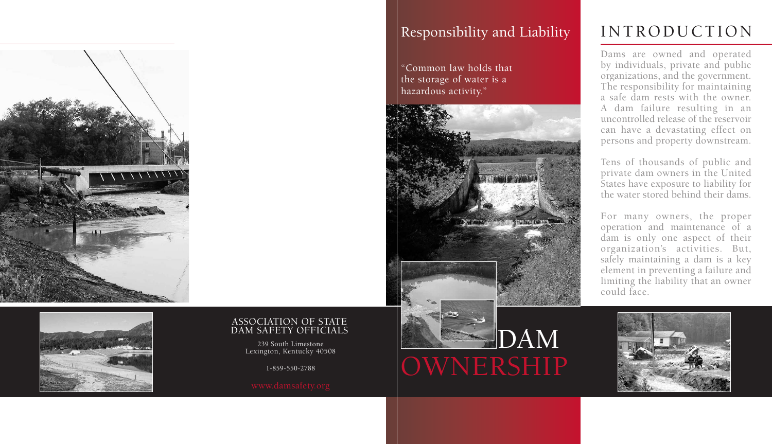

OWNERSHIP

### Responsibility and Liability

"Common law holds that the storage of water is a hazardous activity."

# INTRODUCTION

Dams are owned and operated by individuals, private and public organizations, and the government. The responsibility for maintaining a safe dam rests with the owner. A dam failure resulting in an uncontrolled release of the reservoir can have a devastating effect on persons and property downstream.

Tens of thousands of public and private dam owners in the United States have exposure to liability for the water stored behind their dams.

For many owners, the proper operation and maintenance of a dam is only one aspect of their organization's activities. But, safely maintaining a dam is a key element in preventing a failure and limiting the liability that an owner could face.







#### ASSOCIATION OF STATE DAM SAFETY OFFICIALS

239 South Limestone Lexington, Kentucky 40508

1-859-550-2788